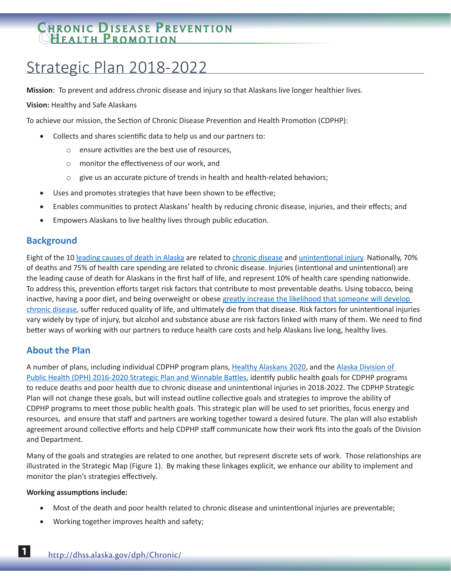# CHRONIC DISEASE PREVENTION **HEALTH PROMOTION**

# Strategic Plan 2018-2022

**Mission**: To prevent and address chronic disease and injury so that Alaskans live longer healthier lives.

**Vision:** Healthy and Safe Alaskans

To achieve our mission, the Section of Chronic Disease Prevention and Health Promotion (CDPHP):

- Collects and shares scientific data to help us and our partners to:
	- o ensure activities are the best use of resources,
	- o monitor the effectiveness of our work, and
	- $\circ$  give us an accurate picture of trends in health and health-related behaviors;
- Uses and promotes strategies that have been shown to be effective;
- Enables communities to protect Alaskans' health by reducing chronic disease, injuries, and their effects; and
- Empowers Alaskans to live healthy lives through public education.

## **Background**

Eight of the 10 [leading causes of death in Alaska](http://dhss.alaska.gov/dph/VitalStats/Documents/PDFs/LeadingCausesofDeath_2015.pdf) are related to [chronic disease](http://dhss.alaska.gov/dph/Chronic/Documents/Publications/assets/2017_CDBriefReport.pdf) and [unintentional injury](http://dhss.alaska.gov/dph/VitalStats/Documents/PDFs/InjuryMortalitybydemographics_2011_2015.pdf). Nationally, 70% of deaths and 75% of health care spending are related to chronic disease. Injuries (intentional and unintentional) are the leading cause of death for Alaskans in the first half of life, and represent 10% of health care spending nationwide. To address this, prevention efforts target risk factors that contribute to most preventable deaths. Using tobacco, being inactive, having a poor diet, and being overweight or obese greatly increase the likelihood that someone will develop [chronic disease](http://dhss.alaska.gov/dph/Chronic/PublishingImages/assets/CDPHP_thewholeperson.gif), suffer reduced quality of life, and ultimately die from that disease. Risk factors for unintentional injuries vary widely by type of injury, but alcohol and substance abuse are risk factors linked with many of them. We need to find better ways of working with our partners to reduce health care costs and help Alaskans live long, healthy lives.

# **About the Plan**

A number of plans, including individual CDPHP program plans, [Healthy Alaskans 2020](http://hss.state.ak.us/ha2020/), and the [Alaska Division of](http://dhss.alaska.gov/dph/Director/Documents/DPH_StrategicPlan_1pager.pdf)  [Public Health \(DPH\) 2016-2020 Strategic Plan and Winnable Battles,](http://dhss.alaska.gov/dph/Director/Documents/DPH_StrategicPlan_1pager.pdf) identify public health goals for CDPHP programs to reduce deaths and poor health due to chronic disease and unintentional injuries in 2018-2022. The CDPHP Strategic Plan will not change these goals, but will instead outline collective goals and strategies to improve the ability of CDPHP programs to meet those public health goals. This strategic plan will be used to set priorities, focus energy and resources, and ensure that staff and partners are working together toward a desired future. The plan will also establish agreement around collective efforts and help CDPHP staff communicate how their work fits into the goals of the Division and Department.

Many of the goals and strategies are related to one another, but represent discrete sets of work. Those relationships are illustrated in the Strategic Map (Figure 1). By making these linkages explicit, we enhance our ability to implement and monitor the plan's strategies effectively.

#### **Working assumptions include:**

- Most of the death and poor health related to chronic disease and unintentional injuries are preventable;
- Working together improves health and safety;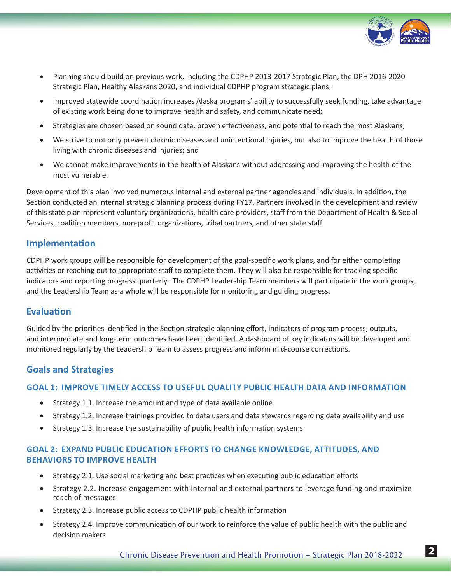

- • Planning should build on previous work, including the CDPHP 2013-2017 Strategic Plan, the DPH 2016-2020 Strategic Plan, Healthy Alaskans 2020, and individual CDPHP program strategic plans;
- Improved statewide coordination increases Alaska programs' ability to successfully seek funding, take advantage of existing work being done to improve health and safety, and communicate need;
- Strategies are chosen based on sound data, proven effectiveness, and potential to reach the most Alaskans;
- We strive to not only prevent chronic diseases and unintentional injuries, but also to improve the health of those living with chronic diseases and injuries; and
- We cannot make improvements in the health of Alaskans without addressing and improving the health of the most vulnerable.

Development of this plan involved numerous internal and external partner agencies and individuals. In addition, the Section conducted an internal strategic planning process during FY17. Partners involved in the development and review of this state plan represent voluntary organizations, health care providers, staff from the Department of Health & Social Services, coalition members, non-profit organizations, tribal partners, and other state staff.

## **Implementation**

CDPHP work groups will be responsible for development of the goal-specific work plans, and for either completing activities or reaching out to appropriate staff to complete them. They will also be responsible for tracking specific indicators and reporting progress quarterly. The CDPHP Leadership Team members will participate in the work groups, and the Leadership Team as a whole will be responsible for monitoring and guiding progress.

### **Evaluation**

Guided by the priorities identified in the Section strategic planning effort, indicators of program process, outputs, and intermediate and long-term outcomes have been identified. A dashboard of key indicators will be developed and monitored regularly by the Leadership Team to assess progress and inform mid-course corrections.

# **Goals and Strategies**

### **GOAL 1: IMPROVE TIMELY ACCESS TO USEFUL QUALITY PUBLIC HEALTH DATA AND INFORMATION**

- Strategy 1.1. Increase the amount and type of data available online
- Strategy 1.2. Increase trainings provided to data users and data stewards regarding data availability and use
- Strategy 1.3. Increase the sustainability of public health information systems

### **GOAL 2: EXPAND PUBLIC EDUCATION EFFORTS TO CHANGE KNOWLEDGE, ATTITUDES, AND BEHAVIORS TO IMPROVE HEALTH**

- Strategy 2.1. Use social marketing and best practices when executing public education efforts
- Strategy 2.2. Increase engagement with internal and external partners to leverage funding and maximize reach of messages
- Strategy 2.3. Increase public access to CDPHP public health information
- Strategy 2.4. Improve communication of our work to reinforce the value of public health with the public and decision makers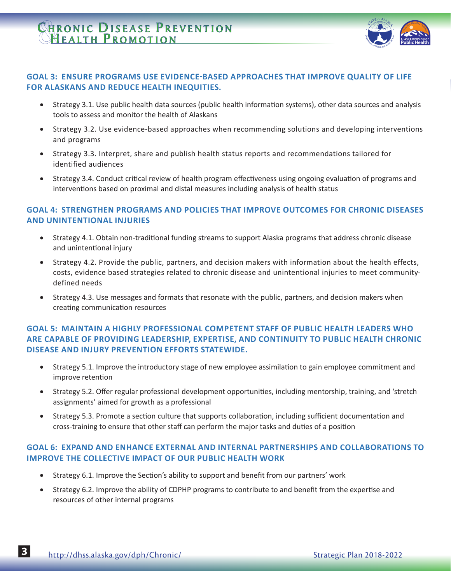# CHRONIC DISEASE PREVENTION **HEALTH PROMOTION**



### **GOAL 3: ENSURE PROGRAMS USE EVIDENCE-BASED APPROACHES THAT IMPROVE QUALITY OF LIFE FOR ALASKANS AND REDUCE HEALTH INEQUITIES.**

- Strategy 3.1. Use public health data sources (public health information systems), other data sources and analysis tools to assess and monitor the health of Alaskans
- Strategy 3.2. Use evidence-based approaches when recommending solutions and developing interventions and programs
- • Strategy 3.3. Interpret, share and publish health status reports and recommendations tailored for identified audiences
- Strategy 3.4. Conduct critical review of health program effectiveness using ongoing evaluation of programs and interventions based on proximal and distal measures including analysis of health status

### **GOAL 4: STRENGTHEN PROGRAMS AND POLICIES THAT IMPROVE OUTCOMES FOR CHRONIC DISEASES AND UNINTENTIONAL INJURIES**

- Strategy 4.1. Obtain non-traditional funding streams to support Alaska programs that address chronic disease and unintentional injury
- Strategy 4.2. Provide the public, partners, and decision makers with information about the health effects, costs, evidence based strategies related to chronic disease and unintentional injuries to meet communitydefined needs
- Strategy 4.3. Use messages and formats that resonate with the public, partners, and decision makers when creating communication resources

### **GOAL 5: MAINTAIN A HIGHLY PROFESSIONAL COMPETENT STAFF OF PUBLIC HEALTH LEADERS WHO ARE CAPABLE OF PROVIDING LEADERSHIP, EXPERTISE, AND CONTINUITY TO PUBLIC HEALTH CHRONIC DISEASE AND INJURY PREVENTION EFFORTS STATEWIDE.**

- Strategy 5.1. Improve the introductory stage of new employee assimilation to gain employee commitment and improve retention
- • Strategy 5.2. Offer regular professional development opportunities, including mentorship, training, and 'stretch assignments' aimed for growth as a professional
- Strategy 5.3. Promote a section culture that supports collaboration, including sufficient documentation and cross-training to ensure that other staff can perform the major tasks and duties of a position

### **GOAL 6: EXPAND AND ENHANCE EXTERNAL AND INTERNAL PARTNERSHIPS AND COLLABORATIONS TO IMPROVE THE COLLECTIVE IMPACT OF OUR PUBLIC HEALTH WORK**

- Strategy 6.1. Improve the Section's ability to support and benefit from our partners' work
- Strategy 6.2. Improve the ability of CDPHP programs to contribute to and benefit from the expertise and resources of other internal programs